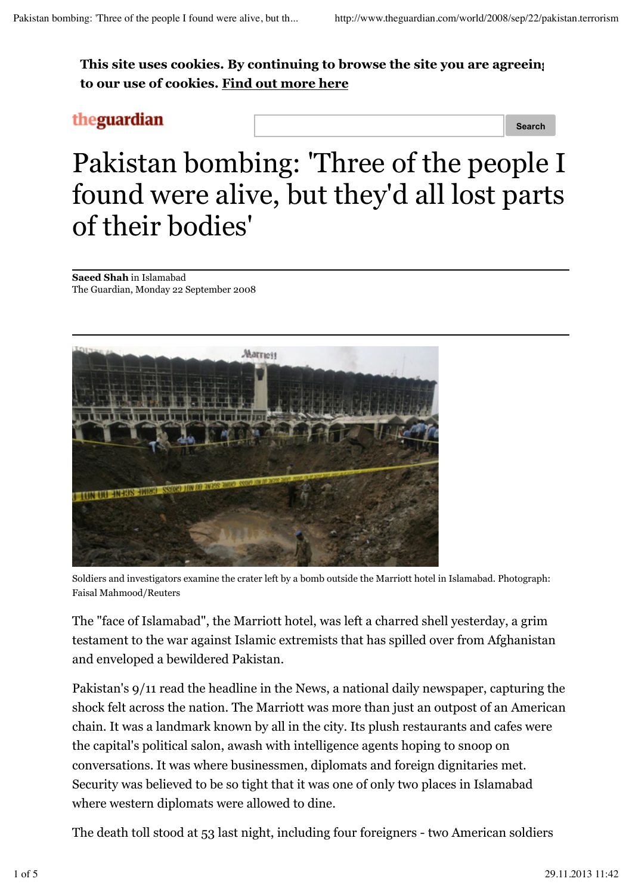**This site uses cookies. By continuing to browse the site you are agreeing to our use of cookies. Find out more here**

## theguardian

**Search**

# Pakistan bombing: 'Three of the people I found were alive, but they'd all lost parts of their bodies'

**Saeed Shah** in Islamabad The Guardian, Monday 22 September 2008



Soldiers and investigators examine the crater left by a bomb outside the Marriott hotel in Islamabad. Photograph: Faisal Mahmood/Reuters

The "face of Islamabad", the Marriott hotel, was left a charred shell yesterday, a grim testament to the war against Islamic extremists that has spilled over from Afghanistan and enveloped a bewildered Pakistan.

Pakistan's 9/11 read the headline in the News, a national daily newspaper, capturing the shock felt across the nation. The Marriott was more than just an outpost of an American chain. It was a landmark known by all in the city. Its plush restaurants and cafes were the capital's political salon, awash with intelligence agents hoping to snoop on conversations. It was where businessmen, diplomats and foreign dignitaries met. Security was believed to be so tight that it was one of only two places in Islamabad where western diplomats were allowed to dine.

The death toll stood at 53 last night, including four foreigners - two American soldiers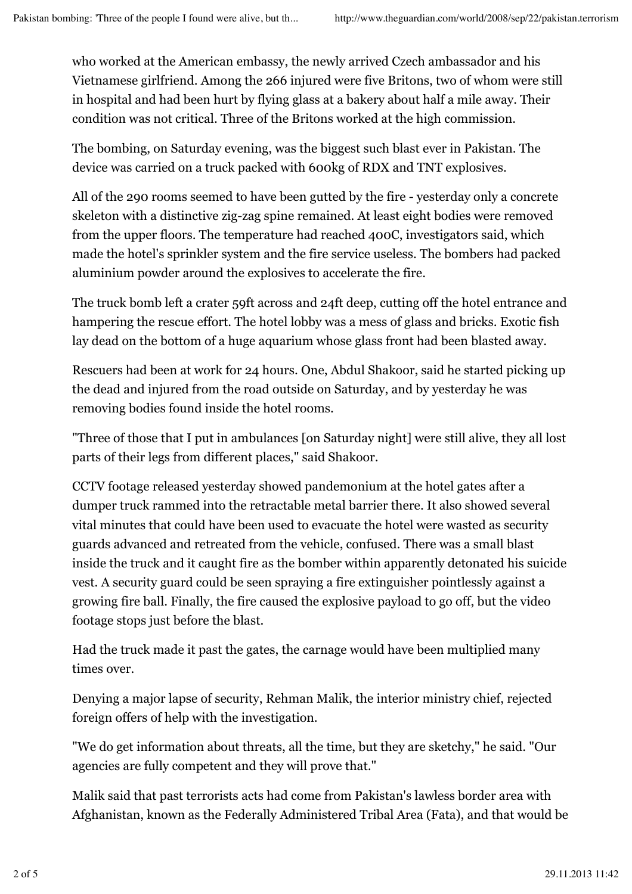who worked at the American embassy, the newly arrived Czech ambassador and his Vietnamese girlfriend. Among the 266 injured were five Britons, two of whom were still in hospital and had been hurt by flying glass at a bakery about half a mile away. Their condition was not critical. Three of the Britons worked at the high commission.

The bombing, on Saturday evening, was the biggest such blast ever in Pakistan. The device was carried on a truck packed with 600kg of RDX and TNT explosives.

All of the 290 rooms seemed to have been gutted by the fire - yesterday only a concrete skeleton with a distinctive zig-zag spine remained. At least eight bodies were removed from the upper floors. The temperature had reached 400C, investigators said, which made the hotel's sprinkler system and the fire service useless. The bombers had packed aluminium powder around the explosives to accelerate the fire.

The truck bomb left a crater 59ft across and 24ft deep, cutting off the hotel entrance and hampering the rescue effort. The hotel lobby was a mess of glass and bricks. Exotic fish lay dead on the bottom of a huge aquarium whose glass front had been blasted away.

Rescuers had been at work for 24 hours. One, Abdul Shakoor, said he started picking up the dead and injured from the road outside on Saturday, and by yesterday he was removing bodies found inside the hotel rooms.

"Three of those that I put in ambulances [on Saturday night] were still alive, they all lost parts of their legs from different places," said Shakoor.

CCTV footage released yesterday showed pandemonium at the hotel gates after a dumper truck rammed into the retractable metal barrier there. It also showed several vital minutes that could have been used to evacuate the hotel were wasted as security guards advanced and retreated from the vehicle, confused. There was a small blast inside the truck and it caught fire as the bomber within apparently detonated his suicide vest. A security guard could be seen spraying a fire extinguisher pointlessly against a growing fire ball. Finally, the fire caused the explosive payload to go off, but the video footage stops just before the blast.

Had the truck made it past the gates, the carnage would have been multiplied many times over.

Denying a major lapse of security, Rehman Malik, the interior ministry chief, rejected foreign offers of help with the investigation.

"We do get information about threats, all the time, but they are sketchy," he said. "Our agencies are fully competent and they will prove that."

Malik said that past terrorists acts had come from Pakistan's lawless border area with Afghanistan, known as the Federally Administered Tribal Area (Fata), and that would be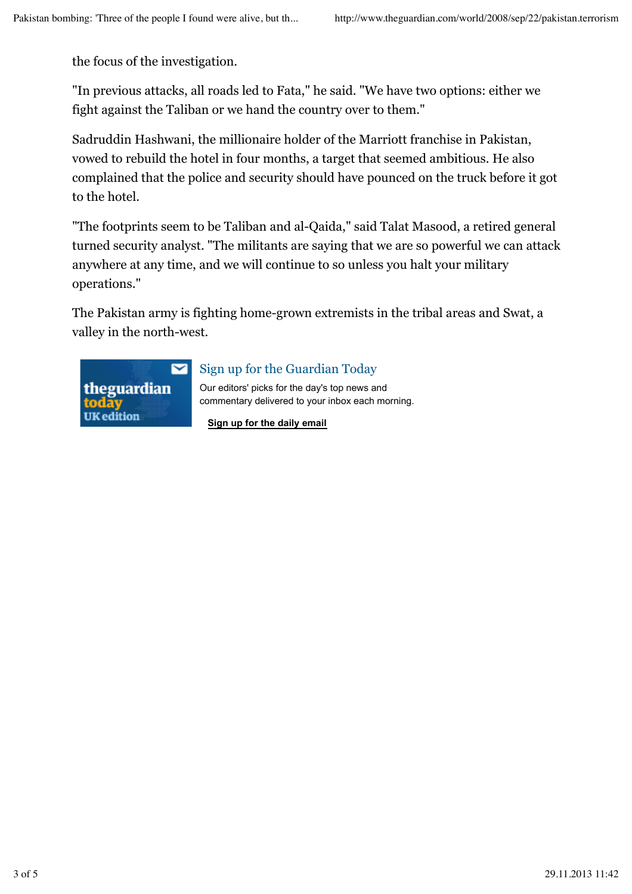the focus of the investigation.

"In previous attacks, all roads led to Fata," he said. "We have two options: either we fight against the Taliban or we hand the country over to them."

Sadruddin Hashwani, the millionaire holder of the Marriott franchise in Pakistan, vowed to rebuild the hotel in four months, a target that seemed ambitious. He also complained that the police and security should have pounced on the truck before it got to the hotel.

"The footprints seem to be Taliban and al-Qaida," said Talat Masood, a retired general turned security analyst. "The militants are saying that we are so powerful we can attack anywhere at any time, and we will continue to so unless you halt your military operations."

The Pakistan army is fighting home-grown extremists in the tribal areas and Swat, a valley in the north-west.



#### Sign up for the Guardian Today

Our editors' picks for the day's top news and commentary delivered to your inbox each morning.

**Sign up for the daily email**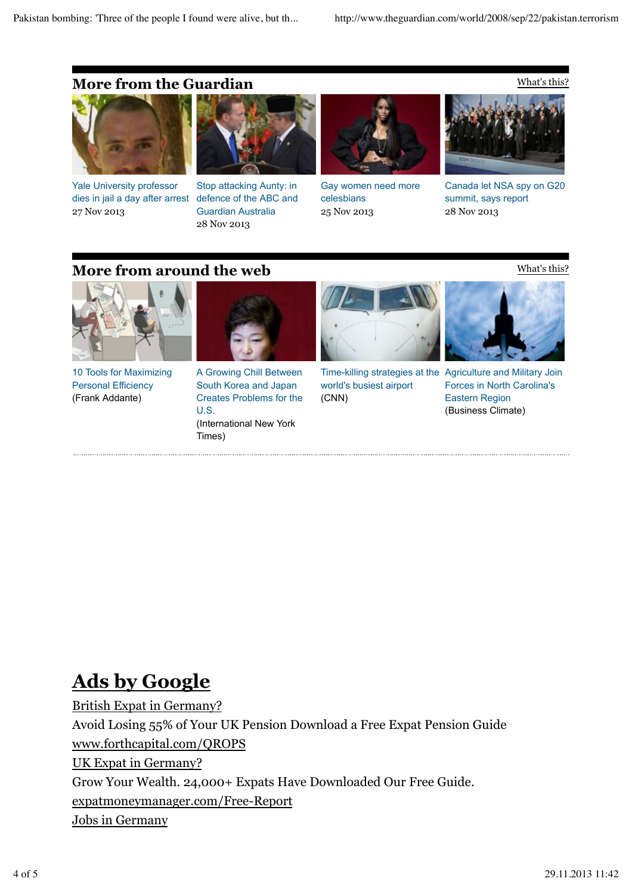### **More from the Guardian**



Yale University professor dies in jail a day after arrest defence of the ABC and 27 Nov 2013



Stop attacking Aunty: in Guardian Australia 28 Nov 2013



Gay women need more celesbians 25 Nov 2013



What's this?

What's this?

Canada let NSA spy on G20 summit, says report 28 Nov 2013

#### **More from around the web**



10 Tools for Maximizing Personal Efficiency (Frank Addante)



A Growing Chill Between South Korea and Japan Creates Problems for the U.S. (International New York Times)



world's busiest airport (CNN)



Time-killing strategies at the Agriculture and Military Join Forces in North Carolina's Eastern Region (Business Climate)

# **Ads by Google**

British Expat in Germany? Avoid Losing 55% of Your UK Pension Download a Free Expat Pension Guide www.forthcapital.com/QROPS UK Expat in Germany? Grow Your Wealth. 24,000+ Expats Have Downloaded Our Free Guide. expatmoneymanager.com/Free-Report Jobs in Germany